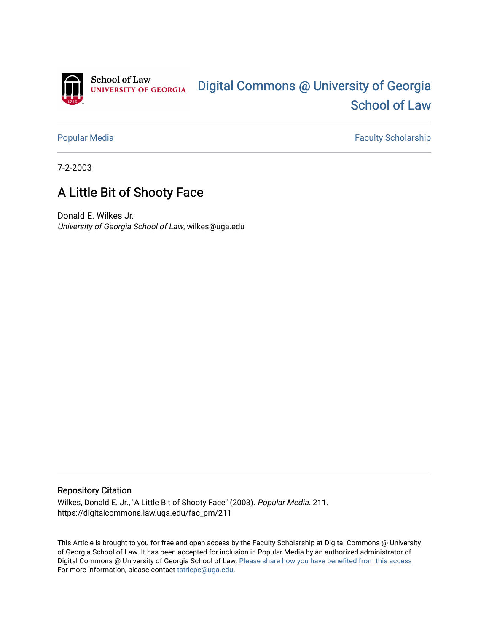

[Popular Media](https://digitalcommons.law.uga.edu/fac_pm) **Faculty Scholarship** Faculty Scholarship

7-2-2003

# A Little Bit of Shooty Face

Donald E. Wilkes Jr. University of Georgia School of Law, wilkes@uga.edu

#### Repository Citation

Wilkes, Donald E. Jr., "A Little Bit of Shooty Face" (2003). Popular Media. 211. https://digitalcommons.law.uga.edu/fac\_pm/211

This Article is brought to you for free and open access by the Faculty Scholarship at Digital Commons @ University of Georgia School of Law. It has been accepted for inclusion in Popular Media by an authorized administrator of Digital Commons @ University of Georgia School of Law. Please share how you have benefited from this access For more information, please contact [tstriepe@uga.edu](mailto:tstriepe@uga.edu).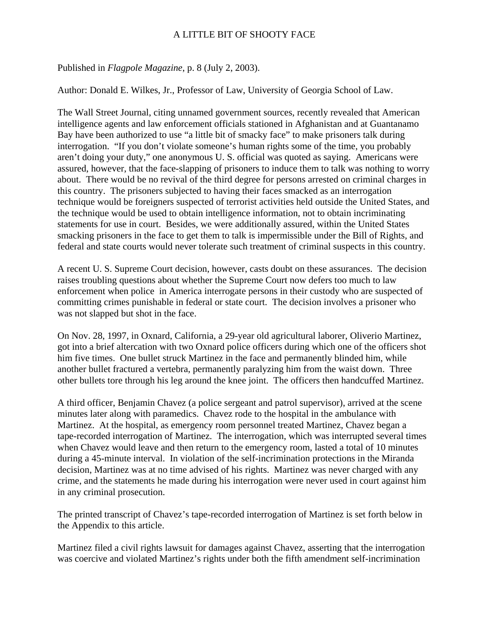## A LITTLE BIT OF SHOOTY FACE

### Published in *Flagpole Magazine*, p. 8 (July 2, 2003).

Author: Donald E. Wilkes, Jr., Professor of Law, University of Georgia School of Law.

The Wall Street Journal, citing unnamed government sources, recently revealed that American intelligence agents and law enforcement officials stationed in Afghanistan and at Guantanamo Bay have been authorized to use "a little bit of smacky face" to make prisoners talk during interrogation. "If you don't violate someone's human rights some of the time, you probably aren't doing your duty," one anonymous U. S. official was quoted as saying. Americans were assured, however, that the face-slapping of prisoners to induce them to talk was nothing to worry about. There would be no revival of the third degree for persons arrested on criminal charges in this country. The prisoners subjected to having their faces smacked as an interrogation technique would be foreigners suspected of terrorist activities held outside the United States, and the technique would be used to obtain intelligence information, not to obtain incriminating statements for use in court. Besides, we were additionally assured, within the United States smacking prisoners in the face to get them to talk is impermissible under the Bill of Rights, and federal and state courts would never tolerate such treatment of criminal suspects in this country.

A recent U. S. Supreme Court decision, however, casts doubt on these assurances. The decision raises troubling questions about whether the Supreme Court now defers too much to law enforcement when police in America interrogate persons in their custody who are suspected of committing crimes punishable in federal or state court. The decision involves a prisoner who was not slapped but shot in the face.

On Nov. 28, 1997, in Oxnard, California, a 29-year old agricultural laborer, Oliverio Martinez, got into a brief altercation with two Oxnard police officers during which one of the officers shot him five times. One bullet struck Martinez in the face and permanently blinded him, while another bullet fractured a vertebra, permanently paralyzing him from the waist down. Three other bullets tore through his leg around the knee joint. The officers then handcuffed Martinez.

A third officer, Benjamin Chavez (a police sergeant and patrol supervisor), arrived at the scene minutes later along with paramedics. Chavez rode to the hospital in the ambulance with Martinez. At the hospital, as emergency room personnel treated Martinez, Chavez began a tape-recorded interrogation of Martinez. The interrogation, which was interrupted several times when Chavez would leave and then return to the emergency room, lasted a total of 10 minutes during a 45-minute interval. In violation of the self-incrimination protections in the Miranda decision, Martinez was at no time advised of his rights. Martinez was never charged with any crime, and the statements he made during his interrogation were never used in court against him in any criminal prosecution.

The printed transcript of Chavez's tape-recorded interrogation of Martinez is set forth below in the Appendix to this article.

Martinez filed a civil rights lawsuit for damages against Chavez, asserting that the interrogation was coercive and violated Martinez's rights under both the fifth amendment self-incrimination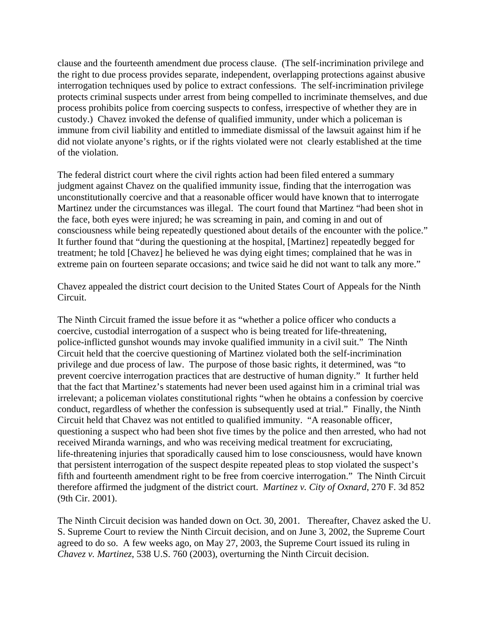clause and the fourteenth amendment due process clause. (The self-incrimination privilege and the right to due process provides separate, independent, overlapping protections against abusive interrogation techniques used by police to extract confessions. The self-incrimination privilege protects criminal suspects under arrest from being compelled to incriminate themselves, and due process prohibits police from coercing suspects to confess, irrespective of whether they are in custody.) Chavez invoked the defense of qualified immunity, under which a policeman is immune from civil liability and entitled to immediate dismissal of the lawsuit against him if he did not violate anyone's rights, or if the rights violated were not clearly established at the time of the violation.

The federal district court where the civil rights action had been filed entered a summary judgment against Chavez on the qualified immunity issue, finding that the interrogation was unconstitutionally coercive and that a reasonable officer would have known that to interrogate Martinez under the circumstances was illegal. The court found that Martinez "had been shot in the face, both eyes were injured; he was screaming in pain, and coming in and out of consciousness while being repeatedly questioned about details of the encounter with the police." It further found that "during the questioning at the hospital, [Martinez] repeatedly begged for treatment; he told [Chavez] he believed he was dying eight times; complained that he was in extreme pain on fourteen separate occasions; and twice said he did not want to talk any more."

Chavez appealed the district court decision to the United States Court of Appeals for the Ninth Circuit.

The Ninth Circuit framed the issue before it as "whether a police officer who conducts a coercive, custodial interrogation of a suspect who is being treated for life-threatening, police-inflicted gunshot wounds may invoke qualified immunity in a civil suit." The Ninth Circuit held that the coercive questioning of Martinez violated both the self-incrimination privilege and due process of law. The purpose of those basic rights, it determined, was "to prevent coercive interrogation practices that are destructive of human dignity." It further held that the fact that Martinez's statements had never been used against him in a criminal trial was irrelevant; a policeman violates constitutional rights "when he obtains a confession by coercive conduct, regardless of whether the confession is subsequently used at trial." Finally, the Ninth Circuit held that Chavez was not entitled to qualified immunity. "A reasonable officer, questioning a suspect who had been shot five times by the police and then arrested, who had not received Miranda warnings, and who was receiving medical treatment for excruciating, life-threatening injuries that sporadically caused him to lose consciousness, would have known that persistent interrogation of the suspect despite repeated pleas to stop violated the suspect's fifth and fourteenth amendment right to be free from coercive interrogation." The Ninth Circuit therefore affirmed the judgment of the district court. *Martinez v. City of Oxnard*, 270 F. 3d 852 (9th Cir. 2001).

The Ninth Circuit decision was handed down on Oct. 30, 2001. Thereafter, Chavez asked the U. S. Supreme Court to review the Ninth Circuit decision, and on June 3, 2002, the Supreme Court agreed to do so. A few weeks ago, on May 27, 2003, the Supreme Court issued its ruling in *Chavez v. Martinez*, 538 U.S. 760 (2003), overturning the Ninth Circuit decision.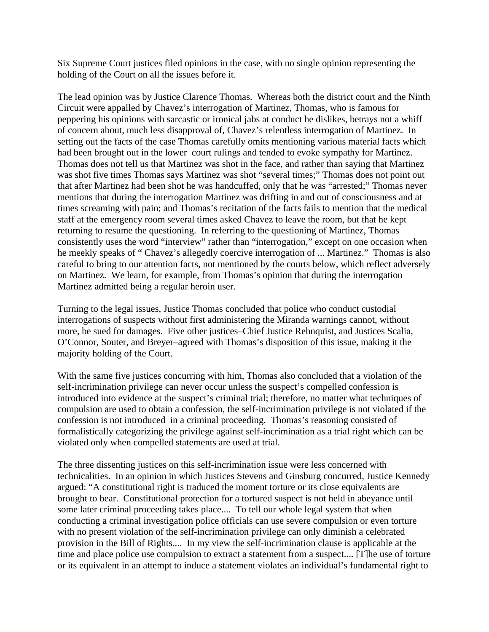Six Supreme Court justices filed opinions in the case, with no single opinion representing the holding of the Court on all the issues before it.

The lead opinion was by Justice Clarence Thomas. Whereas both the district court and the Ninth Circuit were appalled by Chavez's interrogation of Martinez, Thomas, who is famous for peppering his opinions with sarcastic or ironical jabs at conduct he dislikes, betrays not a whiff of concern about, much less disapproval of, Chavez's relentless interrogation of Martinez. In setting out the facts of the case Thomas carefully omits mentioning various material facts which had been brought out in the lower court rulings and tended to evoke sympathy for Martinez. Thomas does not tell us that Martinez was shot in the face, and rather than saying that Martinez was shot five times Thomas says Martinez was shot "several times;" Thomas does not point out that after Martinez had been shot he was handcuffed, only that he was "arrested;" Thomas never mentions that during the interrogation Martinez was drifting in and out of consciousness and at times screaming with pain; and Thomas's recitation of the facts fails to mention that the medical staff at the emergency room several times asked Chavez to leave the room, but that he kept returning to resume the questioning. In referring to the questioning of Martinez, Thomas consistently uses the word "interview" rather than "interrogation," except on one occasion when he meekly speaks of " Chavez's allegedly coercive interrogation of ... Martinez." Thomas is also careful to bring to our attention facts, not mentioned by the courts below, which reflect adversely on Martinez. We learn, for example, from Thomas's opinion that during the interrogation Martinez admitted being a regular heroin user.

Turning to the legal issues, Justice Thomas concluded that police who conduct custodial interrogations of suspects without first administering the Miranda warnings cannot, without more, be sued for damages. Five other justices–Chief Justice Rehnquist, and Justices Scalia, O'Connor, Souter, and Breyer–agreed with Thomas's disposition of this issue, making it the majority holding of the Court.

With the same five justices concurring with him, Thomas also concluded that a violation of the self-incrimination privilege can never occur unless the suspect's compelled confession is introduced into evidence at the suspect's criminal trial; therefore, no matter what techniques of compulsion are used to obtain a confession, the self-incrimination privilege is not violated if the confession is not introduced in a criminal proceeding. Thomas's reasoning consisted of formalistically categorizing the privilege against self-incrimination as a trial right which can be violated only when compelled statements are used at trial.

The three dissenting justices on this self-incrimination issue were less concerned with technicalities. In an opinion in which Justices Stevens and Ginsburg concurred, Justice Kennedy argued: "A constitutional right is traduced the moment torture or its close equivalents are brought to bear. Constitutional protection for a tortured suspect is not held in abeyance until some later criminal proceeding takes place.... To tell our whole legal system that when conducting a criminal investigation police officials can use severe compulsion or even torture with no present violation of the self-incrimination privilege can only diminish a celebrated provision in the Bill of Rights.... In my view the self-incrimination clause is applicable at the time and place police use compulsion to extract a statement from a suspect.... [T]he use of torture or its equivalent in an attempt to induce a statement violates an individual's fundamental right to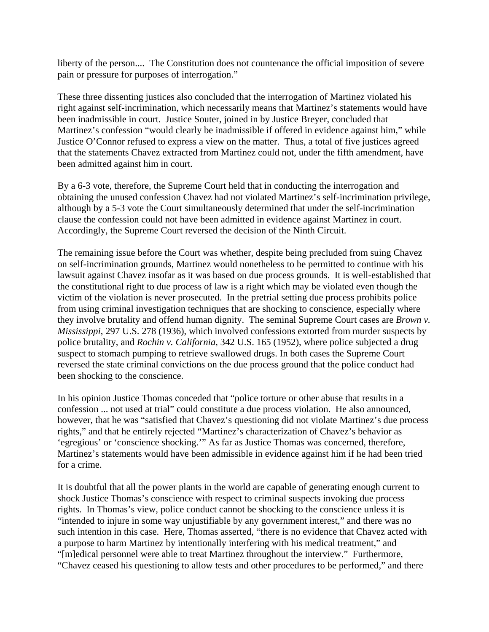liberty of the person.... The Constitution does not countenance the official imposition of severe pain or pressure for purposes of interrogation."

These three dissenting justices also concluded that the interrogation of Martinez violated his right against self-incrimination, which necessarily means that Martinez's statements would have been inadmissible in court. Justice Souter, joined in by Justice Breyer, concluded that Martinez's confession "would clearly be inadmissible if offered in evidence against him," while Justice O'Connor refused to express a view on the matter. Thus, a total of five justices agreed that the statements Chavez extracted from Martinez could not, under the fifth amendment, have been admitted against him in court.

By a 6-3 vote, therefore, the Supreme Court held that in conducting the interrogation and obtaining the unused confession Chavez had not violated Martinez's self-incrimination privilege, although by a 5-3 vote the Court simultaneously determined that under the self-incrimination clause the confession could not have been admitted in evidence against Martinez in court. Accordingly, the Supreme Court reversed the decision of the Ninth Circuit.

The remaining issue before the Court was whether, despite being precluded from suing Chavez on self-incrimination grounds, Martinez would nonetheless to be permitted to continue with his lawsuit against Chavez insofar as it was based on due process grounds. It is well-established that the constitutional right to due process of law is a right which may be violated even though the victim of the violation is never prosecuted. In the pretrial setting due process prohibits police from using criminal investigation techniques that are shocking to conscience, especially where they involve brutality and offend human dignity. The seminal Supreme Court cases are *Brown v. Mississippi*, 297 U.S. 278 (1936), which involved confessions extorted from murder suspects by police brutality, and *Rochin v. California*, 342 U.S. 165 (1952), where police subjected a drug suspect to stomach pumping to retrieve swallowed drugs. In both cases the Supreme Court reversed the state criminal convictions on the due process ground that the police conduct had been shocking to the conscience.

In his opinion Justice Thomas conceded that "police torture or other abuse that results in a confession ... not used at trial" could constitute a due process violation. He also announced, however, that he was "satisfied that Chavez's questioning did not violate Martinez's due process rights," and that he entirely rejected "Martinez's characterization of Chavez's behavior as 'egregious' or 'conscience shocking.'" As far as Justice Thomas was concerned, therefore, Martinez's statements would have been admissible in evidence against him if he had been tried for a crime.

It is doubtful that all the power plants in the world are capable of generating enough current to shock Justice Thomas's conscience with respect to criminal suspects invoking due process rights. In Thomas's view, police conduct cannot be shocking to the conscience unless it is "intended to injure in some way unjustifiable by any government interest," and there was no such intention in this case. Here, Thomas asserted, "there is no evidence that Chavez acted with a purpose to harm Martinez by intentionally interfering with his medical treatment," and "[m]edical personnel were able to treat Martinez throughout the interview." Furthermore, "Chavez ceased his questioning to allow tests and other procedures to be performed," and there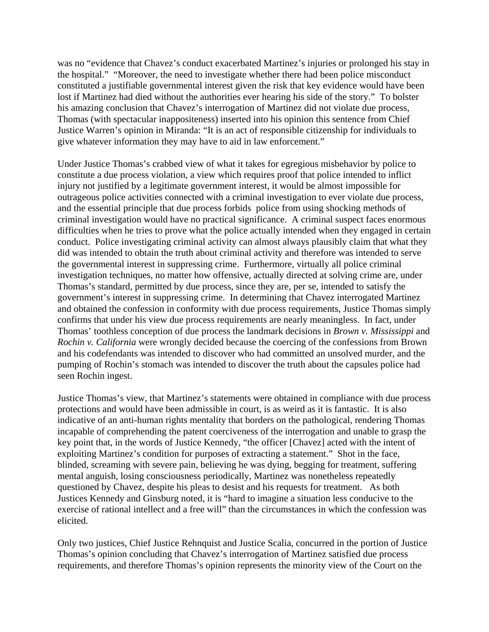was no "evidence that Chavez's conduct exacerbated Martinez's injuries or prolonged his stay in the hospital." "Moreover, the need to investigate whether there had been police misconduct constituted a justifiable governmental interest given the risk that key evidence would have been lost if Martinez had died without the authorities ever hearing his side of the story." To bolster his amazing conclusion that Chavez's interrogation of Martinez did not violate due process, Thomas (with spectacular inappositeness) inserted into his opinion this sentence from Chief Justice Warren's opinion in Miranda: "It is an act of responsible citizenship for individuals to give whatever information they may have to aid in law enforcement."

Under Justice Thomas's crabbed view of what it takes for egregious misbehavior by police to constitute a due process violation, a view which requires proof that police intended to inflict injury not justified by a legitimate government interest, it would be almost impossible for outrageous police activities connected with a criminal investigation to ever violate due process, and the essential principle that due process forbids police from using shocking methods of criminal investigation would have no practical significance. A criminal suspect faces enormous difficulties when he tries to prove what the police actually intended when they engaged in certain conduct. Police investigating criminal activity can almost always plausibly claim that what they did was intended to obtain the truth about criminal activity and therefore was intended to serve the governmental interest in suppressing crime. Furthermore, virtually all police criminal investigation techniques, no matter how offensive, actually directed at solving crime are, under Thomas's standard, permitted by due process, since they are, per se, intended to satisfy the government's interest in suppressing crime. In determining that Chavez interrogated Martinez and obtained the confession in conformity with due process requirements, Justice Thomas simply confirms that under his view due process requirements are nearly meaningless. In fact, under Thomas' toothless conception of due process the landmark decisions in *Brown v. Mississippi* and *Rochin v. California* were wrongly decided because the coercing of the confessions from Brown and his codefendants was intended to discover who had committed an unsolved murder, and the pumping of Rochin's stomach was intended to discover the truth about the capsules police had seen Rochin ingest.

Justice Thomas's view, that Martinez's statements were obtained in compliance with due process protections and would have been admissible in court, is as weird as it is fantastic. It is also indicative of an anti-human rights mentality that borders on the pathological, rendering Thomas incapable of comprehending the patent coerciveness of the interrogation and unable to grasp the key point that, in the words of Justice Kennedy, "the officer [Chavez] acted with the intent of exploiting Martinez's condition for purposes of extracting a statement." Shot in the face, blinded, screaming with severe pain, believing he was dying, begging for treatment, suffering mental anguish, losing consciousness periodically, Martinez was nonetheless repeatedly questioned by Chavez, despite his pleas to desist and his requests for treatment. As both Justices Kennedy and Ginsburg noted, it is "hard to imagine a situation less conducive to the exercise of rational intellect and a free will" than the circumstances in which the confession was elicited.

Only two justices, Chief Justice Rehnquist and Justice Scalia, concurred in the portion of Justice Thomas's opinion concluding that Chavez's interrogation of Martinez satisfied due process requirements, and therefore Thomas's opinion represents the minority view of the Court on the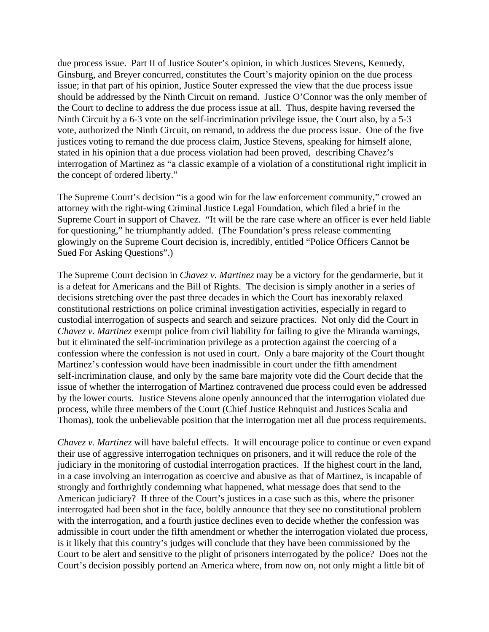due process issue. Part II of Justice Souter's opinion, in which Justices Stevens, Kennedy, Ginsburg, and Breyer concurred, constitutes the Court's majority opinion on the due process issue; in that part of his opinion, Justice Souter expressed the view that the due process issue should be addressed by the Ninth Circuit on remand. Justice O'Connor was the only member of the Court to decline to address the due process issue at all. Thus, despite having reversed the Ninth Circuit by a 6-3 vote on the self-incrimination privilege issue, the Court also, by a 5-3 vote, authorized the Ninth Circuit, on remand, to address the due process issue. One of the five justices voting to remand the due process claim, Justice Stevens, speaking for himself alone, stated in his opinion that a due process violation had been proved, describing Chavez's interrogation of Martinez as "a classic example of a violation of a constitutional right implicit in the concept of ordered liberty."

The Supreme Court's decision "is a good win for the law enforcement community," crowed an attorney with the right-wing Criminal Justice Legal Foundation, which filed a brief in the Supreme Court in support of Chavez. "It will be the rare case where an officer is ever held liable for questioning," he triumphantly added. (The Foundation's press release commenting glowingly on the Supreme Court decision is, incredibly, entitled "Police Officers Cannot be Sued For Asking Questions".)

The Supreme Court decision in *Chavez v. Martinez* may be a victory for the gendarmerie, but it is a defeat for Americans and the Bill of Rights. The decision is simply another in a series of decisions stretching over the past three decades in which the Court has inexorably relaxed constitutional restrictions on police criminal investigation activities, especially in regard to custodial interrogation of suspects and search and seizure practices. Not only did the Court in *Chavez v. Martinez* exempt police from civil liability for failing to give the Miranda warnings, but it eliminated the self-incrimination privilege as a protection against the coercing of a confession where the confession is not used in court. Only a bare majority of the Court thought Martinez's confession would have been inadmissible in court under the fifth amendment self-incrimination clause, and only by the same bare majority vote did the Court decide that the issue of whether the interrogation of Martinez contravened due process could even be addressed by the lower courts. Justice Stevens alone openly announced that the interrogation violated due process, while three members of the Court (Chief Justice Rehnquist and Justices Scalia and Thomas), took the unbelievable position that the interrogation met all due process requirements.

*Chavez v. Martinez* will have baleful effects. It will encourage police to continue or even expand their use of aggressive interrogation techniques on prisoners, and it will reduce the role of the judiciary in the monitoring of custodial interrogation practices. If the highest court in the land, in a case involving an interrogation as coercive and abusive as that of Martinez, is incapable of strongly and forthrightly condemning what happened, what message does that send to the American judiciary? If three of the Court's justices in a case such as this, where the prisoner interrogated had been shot in the face, boldly announce that they see no constitutional problem with the interrogation, and a fourth justice declines even to decide whether the confession was admissible in court under the fifth amendment or whether the interrogation violated due process, is it likely that this country's judges will conclude that they have been commissioned by the Court to be alert and sensitive to the plight of prisoners interrogated by the police? Does not the Court's decision possibly portend an America where, from now on, not only might a little bit of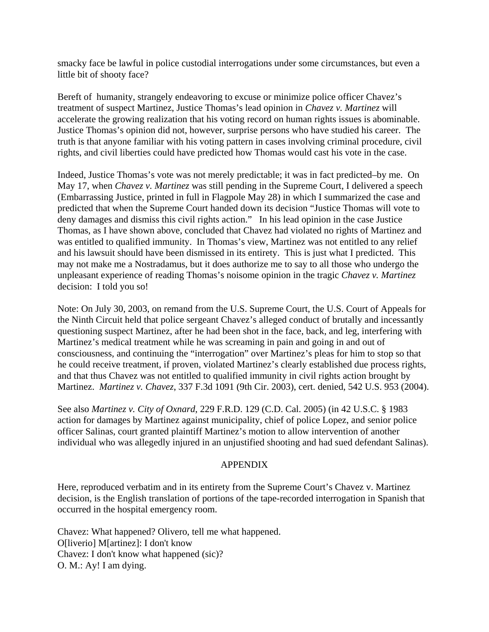smacky face be lawful in police custodial interrogations under some circumstances, but even a little bit of shooty face?

Bereft of humanity, strangely endeavoring to excuse or minimize police officer Chavez's treatment of suspect Martinez, Justice Thomas's lead opinion in *Chavez v. Martinez* will accelerate the growing realization that his voting record on human rights issues is abominable. Justice Thomas's opinion did not, however, surprise persons who have studied his career. The truth is that anyone familiar with his voting pattern in cases involving criminal procedure, civil rights, and civil liberties could have predicted how Thomas would cast his vote in the case.

Indeed, Justice Thomas's vote was not merely predictable; it was in fact predicted–by me. On May 17, when *Chavez v. Martinez* was still pending in the Supreme Court, I delivered a speech (Embarrassing Justice, printed in full in Flagpole May 28) in which I summarized the case and predicted that when the Supreme Court handed down its decision "Justice Thomas will vote to deny damages and dismiss this civil rights action." In his lead opinion in the case Justice Thomas, as I have shown above, concluded that Chavez had violated no rights of Martinez and was entitled to qualified immunity. In Thomas's view, Martinez was not entitled to any relief and his lawsuit should have been dismissed in its entirety. This is just what I predicted. This may not make me a Nostradamus, but it does authorize me to say to all those who undergo the unpleasant experience of reading Thomas's noisome opinion in the tragic *Chavez v. Martinez* decision: I told you so!

Note: On July 30, 2003, on remand from the U.S. Supreme Court, the U.S. Court of Appeals for the Ninth Circuit held that police sergeant Chavez's alleged conduct of brutally and incessantly questioning suspect Martinez, after he had been shot in the face, back, and leg, interfering with Martinez's medical treatment while he was screaming in pain and going in and out of consciousness, and continuing the "interrogation" over Martinez's pleas for him to stop so that he could receive treatment, if proven, violated Martinez's clearly established due process rights, and that thus Chavez was not entitled to qualified immunity in civil rights action brought by Martinez. *Martinez v. Chavez*, 337 F.3d 1091 (9th Cir. 2003), cert. denied, 542 U.S. 953 (2004).

See also *Martinez v. City of Oxnard*, 229 F.R.D. 129 (C.D. Cal. 2005) (in 42 U.S.C. § 1983 action for damages by Martinez against municipality, chief of police Lopez, and senior police officer Salinas, court granted plaintiff Martinez's motion to allow intervention of another individual who was allegedly injured in an unjustified shooting and had sued defendant Salinas).

#### APPENDIX

Here, reproduced verbatim and in its entirety from the Supreme Court's Chavez v. Martinez decision, is the English translation of portions of the tape-recorded interrogation in Spanish that occurred in the hospital emergency room.

Chavez: What happened? Olivero, tell me what happened. O[liverio] M[artinez]: I don't know Chavez: I don't know what happened (sic)? O. M.: Ay! I am dying.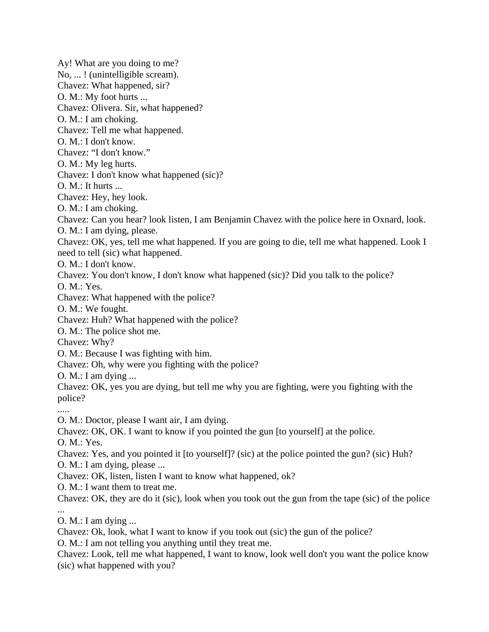Ay! What are you doing to me? No, ... ! (unintelligible scream). Chavez: What happened, sir? O. M.: My foot hurts ... Chavez: Olivera. Sir, what happened? O. M.: I am choking. Chavez: Tell me what happened. O. M.: I don't know. Chavez: "I don't know." O. M.: My leg hurts. Chavez: I don't know what happened (sic)?  $O. M.:$  It hurts ... Chavez: Hey, hey look. O. M.: I am choking. Chavez: Can you hear? look listen, I am Benjamin Chavez with the police here in Oxnard, look. O. M.: I am dying, please. Chavez: OK, yes, tell me what happened. If you are going to die, tell me what happened. Look I need to tell (sic) what happened. O. M.: I don't know. Chavez: You don't know, I don't know what happened (sic)? Did you talk to the police? O. M.: Yes. Chavez: What happened with the police? O. M.: We fought. Chavez: Huh? What happened with the police? O. M.: The police shot me. Chavez: Why? O. M.: Because I was fighting with him. Chavez: Oh, why were you fighting with the police? O. M.: I am dying ... Chavez: OK, yes you are dying, but tell me why you are fighting, were you fighting with the police? ..... O. M.: Doctor, please I want air, I am dying. Chavez: OK, OK. I want to know if you pointed the gun [to yourself] at the police. O. M.: Yes. Chavez: Yes, and you pointed it [to yourself]? (sic) at the police pointed the gun? (sic) Huh? O. M.: I am dying, please ... Chavez: OK, listen, listen I want to know what happened, ok? O. M.: I want them to treat me. Chavez: OK, they are do it (sic), look when you took out the gun from the tape (sic) of the police ... O. M.: I am dying ... Chavez: Ok, look, what I want to know if you took out (sic) the gun of the police?

O. M.: I am not telling you anything until they treat me.

Chavez: Look, tell me what happened, I want to know, look well don't you want the police know (sic) what happened with you?